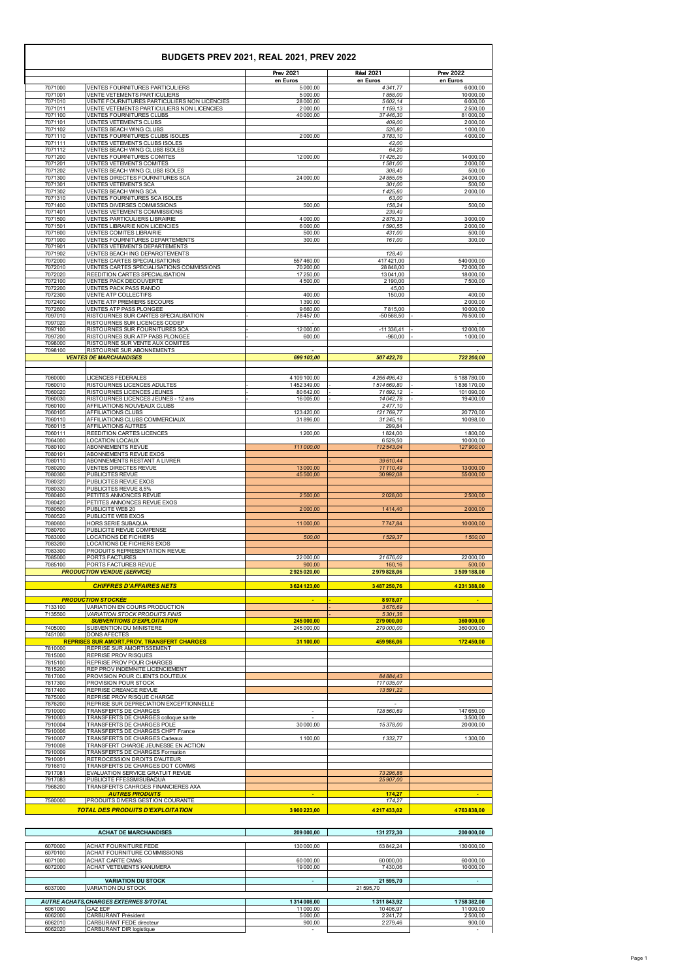| 7071000<br>7071001<br>7071010<br>7071011<br>7071100<br>7071101<br>7071102<br>7071110 | VENTES FOURNITURES PARTICULIERS<br>VENTE VETEMENTS PARTICULIERS                 | en Euros<br>5 000,00   | en Euros<br>4341,77    | en Euros<br>6000,00    |
|--------------------------------------------------------------------------------------|---------------------------------------------------------------------------------|------------------------|------------------------|------------------------|
|                                                                                      |                                                                                 |                        |                        |                        |
|                                                                                      |                                                                                 | 5 000,00               | 1858,00                | 10 000,00              |
|                                                                                      | VENTE FOURNITURES PARTICULIERS NON LICENCIES                                    | 28 000,00              | 5602,14                | 6000,00                |
|                                                                                      | VENTE VETEMENTS PARTICULIERS NON LICENCIES<br><b>VENTES FOURNITURES CLUBS</b>   | 2000,00<br>40 000,00   | 1159,13<br>37 446,30   | 2500,00<br>81 000,00   |
|                                                                                      | <b>VENTES VETEMENTS CLUBS</b>                                                   |                        | 409.00                 | 2000,00                |
| 7071111<br>7071202                                                                   | <b>VENTES BEACH WING CLUBS</b>                                                  |                        | 526,80                 | 1000,00                |
| 7071112                                                                              | VENTES FOURNITURES CLUBS ISOLES                                                 | 2000,00                | 3783,10                | 4 000,00               |
| 7071200                                                                              | VENTES VETEMENTS CLUBS ISOLES<br>VENTES BEACH WING CLUBS ISOLES                 |                        | 42,00<br>64,20         |                        |
| 7071201                                                                              | VENTES FOURNITURES COMITES                                                      | 12 000,00              | 11426,20               | 14 000,00              |
|                                                                                      | <b>VENTES VETEMENTS COMITES</b>                                                 |                        | 1581,00                | 2000,00                |
| 7071300                                                                              | VENTES BEACH WING CLUBS ISOLES<br>VENTES DIRECTES FOURNITURES SCA               | 24 000,00              | 308,40<br>24 855,05    | 24 000,00              |
| 7071301                                                                              | <b>VENTES VETEMENTS SCA</b>                                                     |                        | 301,00                 |                        |
| 7071302                                                                              | VENTES BEACH WING SCA                                                           |                        | 1425,60                | 2000,00                |
| 7071310                                                                              | VENTES FOURNITURES SCA ISOLES                                                   |                        | 63,00                  |                        |
| 7071400<br>7071401                                                                   | VENTES DIVERSES COMMISSIONS<br>VENTES VETEMENTS COMMISSIONS                     | 500,00                 | 158,24<br>239,40       |                        |
| 7071500                                                                              | <b>VENTES PARTICULIERS LIBRAIRIE</b>                                            | 4 000,00               | 2876.33                | 3000,00                |
| 7071501                                                                              | VENTES LIBRAIRIE NON LICENCIES                                                  | 6000,00                | 1590,55                | 2000,00                |
| 7071600                                                                              | <b>VENTES COMITES LIBRAIRIE</b>                                                 | 500,00                 | 431,00                 |                        |
| 7071900<br>7071901                                                                   | VENTES FOURNITURES DEPARTEMENTS<br>VENTES VETEMENTS DEPARTEMENTS                | 300,00                 | 161,00                 |                        |
| 7071902                                                                              | VENTES BEACH ING DEPARGTEMENTS                                                  |                        | 128,40                 |                        |
| 7072000                                                                              | VENTES CARTES SPECIALISATIONS                                                   | 557460,00              | 417421,00              | 540 000,00             |
| 7072010                                                                              | VENTES CARTES SPECIALISATIONS COMMISSIONS                                       | 70 200,00              | 28 848.00              | 72 000,00              |
| 7072020<br>7072100                                                                   | REEDITION CARTES SPECIALISATION<br><b>VENTES PACK DECOUVERTE</b>                | 17 250,00<br>4500,00   | 13041,00<br>2 190,00   | 18 000,00<br>7500,00   |
| 7072200                                                                              | <b>VENTES PACK PASS RANDO</b>                                                   |                        | 45,00                  |                        |
| 7072300                                                                              | VENTE ATP COLLECTIFS                                                            | 400,00                 | 150.00                 | 400,00                 |
| 7072400<br>7072600                                                                   | VENTE ATP PREMIERS SECOURS<br>VENTES ATP PASS PLONGEE                           | 1390,00<br>9660,00     | 7815,00                | 2000,00<br>10 000,00   |
| 7097010                                                                              | RISTOURNES SUR CARTES SPECIALISATION                                            | 78457,00               | $-50568,50$            | 76 500,00              |
| 7097020                                                                              | RISTOURNES SUR LICENCES CODEP                                                   |                        |                        |                        |
| 7097100                                                                              | RISTOURNES SUR FOURNITURES SCA                                                  | 12 000,00              | $-11336,41$            | 12 000,00              |
| 7097200<br>7098000                                                                   | RISTOURNES SUR ATP PASS PLONGEE<br>RISTOURNE SUR VENTE AUX COMITES              | 600.00                 | $-960.00$              | 1000,00                |
| 7098100                                                                              | RISTOURNE SUR ABONNEMENTS                                                       |                        |                        |                        |
|                                                                                      | <b>VENTES DE MARCHANDISES</b>                                                   | 699 103,00             | 507 422,70             | 722 200,00             |
|                                                                                      |                                                                                 |                        |                        |                        |
| 7060000                                                                              | <b>LICENCES FEDERALES</b>                                                       | 4 109 100,00           | 4266496,43             | 5 188 780,00           |
| 7060010                                                                              | RISTOURNES LICENCES ADULTES                                                     | 1452349,00             | 1514669,80             | 1836170,00             |
| 7060020<br>7060030                                                                   | RISTOURNES LICENCES JEUNES<br>RISTOURNES LICENCES JEUNES - 12 ans               | 80 642,00<br>16 005,00 | 71 692,12<br>14042,78  | 101 090,00<br>19400,00 |
| 7060100                                                                              | AFFILIATIONS NOUVEAUX CLUBS                                                     |                        | 2477,10                |                        |
| 7060105                                                                              | AFFILIATIONS CLUBS                                                              | 123420,00              | 121769,77              | 20770,00               |
| 7060110                                                                              | AFFILIATIONS CLUBS COMMERCIAUX                                                  | 31896,00               | 31 245,16              | 10 098,00              |
| 7060115<br>7060111                                                                   | AFFILIATIONS AUTRES<br>REEDITION CARTES LICENCES                                | 1200.00                | 299,84<br>1824,00      | 1800,00                |
| 7064000                                                                              | <b>LOCATION LOCAUX</b>                                                          |                        | 6529,50                | 10 000,00              |
| 7080100                                                                              | ABONNEMENTS REVUE                                                               | 111 000,00             | 112543,04              | 127900,00              |
| 7080101<br>7080110                                                                   | ABONNEMENTS REVUE EXOS<br>ABONNEMENTS RESTANT A LIVRER                          |                        |                        |                        |
| 7080200                                                                              | <b>VENTES DIRECTES REVUE</b>                                                    | 13000,00               | 39610,44<br>11 110,49  | 13 000,00              |
| 7080300                                                                              | PUBLICITES REVUE                                                                | 45 500,00              | 30992.08               | 55 000,00              |
| 7080320                                                                              | PUBLICITES REVUE EXOS                                                           |                        |                        |                        |
| 7080330<br>7080400                                                                   | PUBLICITES REVUE 8,5%<br>PETITES ANNONCES REVUE                                 |                        |                        |                        |
| 7080420                                                                              | PETITES ANNONCES REVUE EXOS                                                     | 2500,00                | 2028,00                | 2500,00                |
| 7080500                                                                              | PUBLICITE WEB 20                                                                | 2000,00                | 1414,40                | 2000,00                |
| 7080520                                                                              | PUBLICITE WEB EXOS                                                              |                        |                        |                        |
| 7080600<br>7080700                                                                   | HORS SERIE SUBAQUA<br>PUBLICITE REVUE COMPENSE                                  | 11 000,00              | 7747,84                | 10 000,00              |
| 7083000                                                                              | LOCATIONS DE FICHIERS                                                           | 500,00                 | 1529,37                | 1500,00                |
| 7083200                                                                              | LOCATIONS DE FICHIERS EXOS                                                      |                        |                        |                        |
| 7083300                                                                              | PRODUITS REPRESENTATION REVUE                                                   |                        |                        |                        |
| 7085000<br>7085100                                                                   | PORTS FACTURES<br>PORTS FACTURES REVUE                                          | 22 000,00<br>900,00    | 21 676,02<br>160,16    | 22 000,00              |
|                                                                                      | <b>PRODUCTION VENDUE (SERVICE)</b>                                              | 2925020,00             | 2979828,06             | 3509188,00             |
|                                                                                      |                                                                                 |                        |                        |                        |
|                                                                                      | <b>CHIFFRES D'AFFAIRES NETS</b>                                                 | 3624123,00             | 3487250,76             | 4231388,00             |
|                                                                                      | <b>PRODUCTION STOCKÉE</b>                                                       | $\blacksquare$         | 8978,07                |                        |
| 7133100                                                                              | VARIATION EN COURS PRODUCTION                                                   |                        | 3676,69                |                        |
| 7135500                                                                              | <b>VARIATION STOCK PRODUITS FINIS</b><br><b>SUBVENTIONS D'EXPLOITATION</b>      | 245 000,00             | 5301,38<br>279 000,00  | 360 000,00             |
| 7405000                                                                              | SUBVENTION DU MINISTERE                                                         | 245 000,00             | 279 000,00             | 360 000,00             |
| 7451000                                                                              | <b>DONS AFECTES</b>                                                             |                        |                        |                        |
| 7810000                                                                              | <b>REPRISES SUR AMORT, PROV, TRANSFERT CHARGES</b><br>REPRISE SUR AMORTISSEMENT | 31 100,00              | 459 986,06             | 172450,00              |
| 7815000                                                                              | <b>REPRISE PROV RISQUES</b>                                                     |                        |                        |                        |
| 7815100                                                                              | REPRISE PROV POUR CHARGES                                                       |                        |                        |                        |
| 7815200                                                                              | REP PROV INDEMNITE LICENCIEMENT                                                 |                        |                        |                        |
| 7817000                                                                              | PROVISION POUR CLIENTS DOUTEUX<br>PROVISION POUR STOCK                          |                        | 84 884,43<br>117035,07 |                        |
|                                                                                      | REPRISE CREANCE REVUE                                                           |                        | 13591,22               |                        |
| 7817300<br>7817400                                                                   | REPRISE PROV RISQUE CHARGE                                                      |                        |                        |                        |
| 7875000                                                                              | REPRISE SUR DEPRECIATION EXCEPTIONNELLE                                         |                        |                        |                        |
| 7876200                                                                              |                                                                                 |                        |                        |                        |
| 7910000                                                                              | TRANSFERTS DE CHARGES                                                           |                        | 128 560,69             | 147 650,00             |
| 7910003<br>7910004                                                                   | TRANSFERTS DE CHARGES colloque sante<br>TRANSFERTS DE CHARGES POLE              | 30 000,00              | 15378,00               | 3500,00<br>20 000,00   |

TRANSFERTS DE CHARGES Cadeaux 1 100,00 *1 332,77* 1 300,00

| 7910008 | TRANSFERT CHARGE JEUNESSE EN ACTION        |            |              |                |
|---------|--------------------------------------------|------------|--------------|----------------|
| 7910009 | TRANSFERTS DE CHARGES Formation            |            |              |                |
| 7910001 | <b>IRETROCESSION DROITS D'AUTEUR</b>       |            |              |                |
| 7916810 | TRANSFERTS DE CHARGES DOT COMMS            |            |              |                |
| 7917081 | EVALUATION SERVICE GRATUIT REVUE           |            | 73 296.88    |                |
| 7917083 | <b>PUBLICITE FFESSM/SUBAQUA</b>            |            | 25907.00     |                |
| 7968200 | <b>ITRANSFERTS CAHRGES FINANCIERES AXA</b> |            |              |                |
|         | <b>AUTRES PRODUITS</b>                     | $\sim$     | 174.27       | $\blacksquare$ |
| 7580000 | <b>PRODUITS DIVERS GESTION COURANTE</b>    |            | 174.27       |                |
|         | <b>TOTAL DES PRODUITS D'EXPLOITATION</b>   | 3900223.00 | 4 217 433.02 | 4763838.00     |

|         | <b>ACHAT DE MARCHANDISES</b>        | 209 000.00 | 131 272.30 | 200 000.00 |
|---------|-------------------------------------|------------|------------|------------|
|         |                                     |            |            |            |
| 6070000 | <b>ACHAT FOURNITURE FEDE</b>        | 130 000,00 | 63842.24   | 130 000,00 |
| 6070100 | <b>ACHAT FOURNITURE COMMISSIONS</b> |            |            |            |
| 6071000 | <b>IACHAT CARTE CMAS</b>            | 60 000,00  | 60 000.00  | 60 000,00  |
| 6072000 | <b>ACHAT VETEMENTS KANUMERA</b>     | 19 000.00  | 7430.06    | 10 000,00  |
|         |                                     |            |            |            |
|         | <b>VARIATION DU STOCK</b>           |            | 21 595.70  |            |
| 6037000 | <b>VARIATION DU STOCK</b>           |            | 21 595.70  |            |

|         | <b>AUTRE ACHATS CHARGES EXTERNES S/TOTAL</b> | 1 314 008.00 | 1311843.92 | 1758382.00 |
|---------|----------------------------------------------|--------------|------------|------------|
| 6061000 | <b>GAZ EDF</b>                               | 11000.00     | 10406.97   | 11000.00   |
| 6062000 | <b>CARBURANT Président</b>                   | 5000.00      | 2241.72    | 2500.00    |
| 6062010 | <b>CARBURANT FEDE directeur</b>              | 900.00       | 2279.46    | 900,00     |
| 6062020 | <b>CARBURANT DIR logistique</b>              |              |            |            |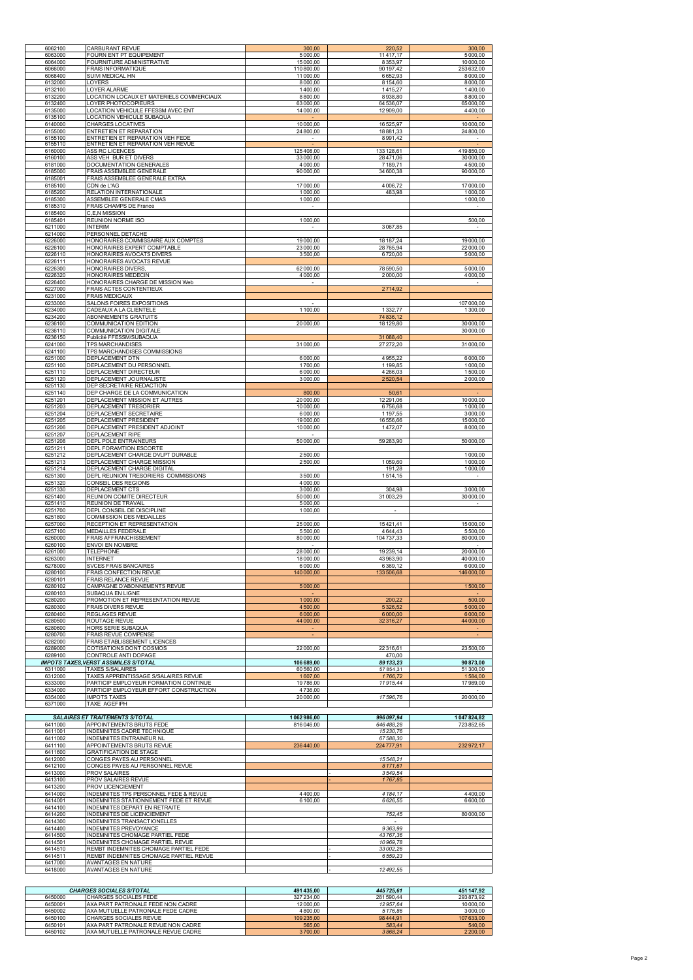| 6062100 | <b>CARBURANT REVUE</b>                       | 300,00                      | 220,52      | 300,00                   |
|---------|----------------------------------------------|-----------------------------|-------------|--------------------------|
| 6063000 | FOURN ENT PT EQUIPEMENT                      | 5000.00                     | 11417,17    | 5000.00                  |
| 6064000 | FOURNITURE ADMINISTRATIVE                    | 15 000,00                   | 8353,97     | 10 000,00                |
|         |                                              |                             |             |                          |
| 6066000 | <b>FRAIS INFORMATIQUE</b>                    | 110 800,00                  | 90 197,42   | 253 632,00               |
| 6068400 | SUIVI MEDICAL HN                             | 11 000,00                   | 6652,93     | 8 000,00                 |
| 6132000 | <b>_OYERS</b>                                | 8 000,00                    | 8154,60     | 8000,00                  |
| 6132100 | LOYER ALARME                                 | 1400.00                     | 1415,27     | 1400,00                  |
|         |                                              |                             |             |                          |
| 6132200 | OCATION LOCAUX ET MATERIELS COMMERCIAUX      | 8800.00                     | 8938,80     | 8800,00                  |
| 6132400 | LOYER PHOTOCOPIEURS                          | 63000,00                    | 64 536,07   | 65 000,00                |
| 6135000 | <b>LOCATION VEHICULE FFESSM AVEC ENT</b>     | 14 000,00                   | 12 909,00   | 4400,00                  |
|         |                                              |                             |             |                          |
| 6135100 | <b>LOCATION VEHICULE SUBAQUA</b>             | $\sim$                      |             | $\sim$                   |
| 6140000 | <b>CHARGES LOCATIVES</b>                     | 10 000.00                   | 16525,97    | 10 000,00                |
| 6155000 | ENTRETIEN ET REPARATION                      | 24 800,00                   | 18881,33    | 24 800,00                |
|         |                                              |                             |             |                          |
| 6155100 | ENTRETIEN ET REPARATION VEH FEDE             | $\overline{\phantom{a}}$    | 8991,42     |                          |
| 6155110 | ENTRETIEN ET REPARATION VEH REVUE            | $\blacksquare$              |             | $\blacksquare$           |
| 6160000 | ASS RC LICENCES                              | 125408,00                   | 133 128,61  | 419850.00                |
| 6160100 | ASS VEH BUR ET DIVERS                        | 33 000.00                   | 28471,06    | 30 000.00                |
| 6181000 | DOCUMENTATION GENERALES                      | 4 000,00                    | 7 189,71    | 4 500,00                 |
|         |                                              |                             |             |                          |
| 6185000 | FRAIS ASSEMBLEE GENERALE                     | 90 000,00                   | 34 600,38   | 90 000,00                |
| 6185001 | FRAIS ASSEMBLEE GENERALE EXTRA               |                             |             |                          |
| 6185100 | CDN de L'AG                                  | 17 000,00                   | 4 0 06,72   | 17 000,00                |
| 6185200 | RELATION INTERNATIONALE                      | 1000,00                     | 483,98      | 1000,00                  |
|         |                                              |                             |             |                          |
| 6185300 | ASSEMBLEE GENERALE CMAS                      | 1000,00                     |             | 1000,00                  |
| 6185310 | <b>FRAIS CHAMPS DE France</b>                | $\overline{\phantom{a}}$    |             | $\overline{\phantom{a}}$ |
| 6185400 | C.E.N MISSION                                |                             |             |                          |
|         |                                              |                             |             |                          |
| 6185401 | REUNION NORME ISO                            | 1000,00                     |             | 500,00                   |
| 6211000 | <b>INTERIM</b>                               | $\blacksquare$              | 3067,85     | $\overline{\phantom{a}}$ |
| 6214000 | PERSONNEL DETACHE                            |                             |             |                          |
| 6226000 | HONORAIRES COMMISSAIRE AUX COMPTES           |                             | 18 187,24   |                          |
|         |                                              | 19 000,00                   |             | 19 000,00                |
| 6226100 | HONORAIRES EXPERT COMPTABLE                  | 23 000,00                   | 28765,94    | 22 000,00                |
| 6226110 | HONORAIRES AVOCATS DIVERS                    | 3500,00                     | 6720,00     | 5000,00                  |
| 6226111 | HONORAIRES AVOCATS REVUE                     |                             |             |                          |
|         |                                              |                             |             |                          |
| 6226300 | <b>HONORAIRES DIVERS,</b>                    | 62000,00                    | 78 590,50   | 5000,00                  |
| 6226320 | <b>HONORAIRES MEDECIN</b>                    | 4 000.00                    | 2000,00     | 4 000,00                 |
| 6226400 | HONORAIRES CHARGE DE MISSION Web             | $\mathcal{L}_{\mathcal{A}}$ |             | $\sim$                   |
|         |                                              |                             |             |                          |
| 6227000 | FRAIS ACTES CONTENTIEUX                      |                             | 2714,92     |                          |
| 6231000 | <b>FRAIS MEDICAUX</b>                        |                             |             |                          |
| 6233000 | SALONS FOIRES EXPOSITIONS                    | $\overline{\phantom{a}}$    |             | 107 000,00               |
| 6234000 | CADEAUX A LA CLIENTELE                       | 1 100,00                    | 1332,77     | 1300,00                  |
|         |                                              |                             |             |                          |
| 6234200 | ABONNEMENTS GRATUITS                         |                             | 74 836,12   |                          |
| 6236100 | COMMUNICATION EDITION                        | 20 000,00                   | 18 129,80   | 30 000,00                |
| 6236110 | <b>COMMUNICATION DIGITALE</b>                |                             |             | 30 000,00                |
|         |                                              |                             |             |                          |
| 6236150 | Publicité FFESSM/SUBAQUA                     |                             | 31088,40    |                          |
| 6241000 | <b>TPS MARCHANDISES</b>                      | 31 000,00                   | 27 27 2, 20 | 31 000,00                |
| 6241100 | TPS MARCHANDISES COMMISSIONS                 |                             |             |                          |
| 6251000 | DEPLACEMENT DTN                              | 6000,00                     | 4955,22     | 6000,00                  |
|         |                                              |                             |             |                          |
| 6251100 | DEPLACEMENT DU PERSONNEL                     | 1700,00                     | 1199,85     | 1000.00                  |
| 6251110 | DEPLACEMENT DIRECTEUR                        | 6000,00                     | 4266,03     | 1500,00                  |
| 6251120 | DEPLACEMENT JOURNALISTE                      | 3000,00                     | 2520,54     | 2000,00                  |
|         |                                              |                             |             |                          |
| 6251130 | DEP SECRETAIRE REDACTION                     |                             |             |                          |
| 6251140 | DEP CHARGE DE LA COMMUNICATION               | 800,00                      | 50,61       |                          |
| 6251201 | DEPLACEMENT MISSION ET AUTRES                | 20 000.00                   | 12 291,06   | 10 000,00                |
| 6251203 | <b>DEPLACEMENT TRESORIER</b>                 | 10 000,00                   | 6756.68     | 1000.00                  |
|         |                                              |                             |             |                          |
| 6251204 | DEPLACEMENT SECRETAIRE                       | 6 000,00                    | 1 197,55    | 3 000,00                 |
| 6251205 | DEPLACEMENT PRESIDENT                        | 19 000,00                   | 16 556,66   | 15 000,00                |
| 6251206 | DEPLACEMENT PRESIDENT ADJOINT                | 10 000,00                   | 1472,07     | 8000,00                  |
|         |                                              |                             |             |                          |
| 6251207 | DEPLACEMENT RIPE                             |                             |             |                          |
| 6251208 | DEPL POLE ENTRAINEURS                        | 50 000.00                   | 59 283,90   | 50 000,00                |
| 6251211 | <b>DEPL FORAMTION ESCORTE</b>                |                             |             |                          |
|         |                                              |                             |             |                          |
| 6251212 | DEPLACEMENT CHARGE DVLPT DURABLE             | 2500,00                     |             | 1000,00                  |
| 6251213 | DEPLACEMENT CHARGE MISSION                   | 2500,00                     | 1059,60     | 1000,00                  |
| 6251214 | DEPLACEMENT CHARGE DIGITAL                   |                             | 191.28      | 1000,00                  |
| 6251300 | DEPL REUNION TRESORIERS COMMISSIONS          | 3500,00                     | 1514,15     |                          |
|         |                                              |                             |             |                          |
| 6251320 | CONSEIL DES REGIONS                          | 4 000,00                    |             |                          |
| 6251330 | DEPLACEMENT CTS                              | 3000.00                     | 304,98      | 3000,00                  |
| 6251400 | REUNION COMITE DIRECTEUR                     | 50 000,00                   | 31 003,29   | 30 000,00                |
|         |                                              |                             |             |                          |
| 6251410 | <b>REUNION DE TRAVAIL</b>                    | 5000.00                     |             |                          |
| 6251700 | DEPL CONSEIL DE DISCIPLINE                   | 1000,00                     | $\sim$      |                          |
| 6251800 | <b>COMMISSION DES MEDAILLES</b>              |                             |             |                          |
| 6257000 | RECEPTION ET REPRESENTATION                  | 25 000,00                   | 15421,41    | 15 000,00                |
|         |                                              |                             |             |                          |
| 6257100 | MEDAILLES FEDERALE                           | 5 500,00                    | 4644,43     | 5 500,00                 |
| 6260000 | FRAIS AFFRANCHISSEMENT                       | 80 000,00                   | 104 737,33  | 80 000,00                |
| 6260100 | <b>ENVOI EN NOMBRE</b>                       | $\sim$                      |             |                          |
|         |                                              |                             |             |                          |
| 6261000 | <b>TELEPHONE</b>                             | 28 000,00                   | 19239,14    | 20 000,00                |
| 6263000 | <b>INTERNET</b>                              | 18 000,00                   | 43963,90    | 40 000,00                |
| 6278000 | SVCES FRAIS BANCAIRES                        | 6000,00                     | 6369,12     | 6000,00                  |
| 6280100 | FRAIS CONFECTION REVUE                       | 140 000,00                  | 133 506,68  | 146 000,00               |
|         |                                              |                             |             |                          |
| 6280101 | <b>FRAIS RELANCE REVUE</b>                   |                             |             |                          |
| 6280102 | CAMPAGNE D'ABONNEMENTS REVUE                 | 5000,00                     |             | 1500,00                  |
| 6280103 | SUBAQUA EN LIGNE                             | $\sim$                      |             | $\sim$                   |
|         |                                              |                             |             |                          |
| 6280200 | PROMOTION ET REPRESENTATION REVUE            | 1000,00                     | 200,22      | 500,00                   |
| 6280300 | <b>FRAIS DIVERS REVUE</b>                    | 4 500,00                    | 5326,52     | 5000,00                  |
| 6280400 | <b>REGLAGES REVUE</b>                        | 6 000,00                    | 6 000,00    | 6 000,00                 |
| 6280500 | ROUTAGE REVUE                                | 44 000,00                   | 32316,27    | 44 000,00                |
|         |                                              |                             |             |                          |
| 6280600 | HORS SERIE SUBAQUA                           | $\sim$                      |             | $\sim$                   |
| 6280700 | FRAIS REVUE COMPENSE                         |                             |             |                          |
| 6282000 | FRAIS ETABLISSEMENT LICENCES                 |                             |             |                          |
|         |                                              |                             |             |                          |
| 6289000 | COTISATIONS DONT COSMOS                      | 22 000,00                   | 22316,61    | 23 500,00                |
| 6289100 | CONTROLE ANTI DOPAGE                         |                             | 470,00      |                          |
|         | <b>IMPOTS TAXES, VERST ASSIMILES S/TOTAL</b> | 106 689,00                  | 89 133,23   | 90 873,00                |
| 6311000 | <b>TAXES S/SALAIRES</b>                      | 60 560,00                   |             | 51 300,00                |
|         |                                              |                             | 57854,31    |                          |
| 6312000 | TAXES APPRENTISSAGE S/SALAIRES REVUE         | 1607,00                     | 1766,72     | 1584,00                  |
| 6333000 | PARTICIP EMPLOYEUR FORMATION CONTINUE        | 19786,00                    | 11915,44    | 17989,00                 |
| 6334000 | PARTICIP EMPLOYEUR EFFORT CONSTRUCTION       | 4736,00                     |             | $\overline{\phantom{a}}$ |
|         |                                              |                             |             |                          |
| 6354000 | <b>IMPOTS TAXES</b>                          | 20 000,00                   | 17596,76    | 20 000,00                |
| 6371000 | TAXE AGEFIPH                                 |                             |             |                          |
|         |                                              |                             |             |                          |
|         |                                              |                             |             |                          |
|         | <b>SALAIRES ET TRAITEMENTS S/TOTAL</b>       | 1062986,00                  | 996 097,94  | 1047824,82               |
| 6411000 | APPOINTEMENTS BRUTS FEDE                     | 816046,00                   | 646488,28   | 723852,65                |

INDEMNITES CADRE TECHNIQUE *15 230,76* 

| 6411002 | <b>IINDEMNITES ENTRAINEUR NL</b>               |           | 67 588,30     |           |
|---------|------------------------------------------------|-----------|---------------|-----------|
| 6411100 | APPOINTEMENTS BRUTS REVUE                      | 236440.00 | 224 777.91    | 232972,17 |
| 6411600 | <b>GRATIFICATION DE STAGE</b>                  |           |               |           |
| 6412000 | <b>CONGES PAYES AU PERSONNEL</b>               |           | 15548.21      |           |
| 6412100 | <b>ICONGES PAYES AU PERSONNEL REVUE</b>        |           | 8171.61       |           |
| 6413000 | <b>PROV SALAIRES</b>                           |           | 3549.54       |           |
| 6413100 | <b>PROV SALAIRES REVUE</b>                     |           | 1767,85       |           |
| 6413200 | <b>PROV LICENCIEMENT</b>                       |           |               |           |
| 6414000 | IINDEMNITES TPS PERSONNEL FEDE & REVUE         | 4400.00   | 4 1 8 4 1 7   | 4400.00   |
| 6414001 | IINDEMNITES STATIONNEMENT FEDE ET REVUE        | 6 100.00  | 6 6 26.55     | 6600.00   |
| 6414100 | INDEMNITES DEPART EN RETRAITE                  |           |               |           |
| 6414200 | INDEMNITES DE LICENCIEMENT                     |           | 752.45        | 80 000.00 |
| 6414300 | <b>INDEMNITES TRANSACTIONELLES</b>             |           |               |           |
| 6414400 | <b>INDEMNITES PREVOYANCE</b>                   |           | 9363.99       |           |
| 6414500 | INDEMNITES CHOMAGE PARTIEL FEDE                |           | 43767.36      |           |
| 6414501 | <b>INDEMNITES CHOMAGE PARTIEL REVUE</b>        |           | 10969.78      |           |
| 6414510 | REMBT INDEMNITES CHOMAGE PARTIEL FEDE          |           | 33002.26      |           |
| 6414511 | <b>IREMBT INDEMNITES CHOMAGE PARTIEL REVUE</b> |           | 6 5 5 9 . 2 3 |           |
| 6417000 | <b>AVANTAGES EN NATURE</b>                     |           |               |           |
| 6418000 | <b>AVANTAGES EN NATURE</b>                     |           | 12492,55      |           |

|         | <b>CHARGES SOCIALES S/TOTAL</b>     | 491435.00  | 445 725.61 | 451 147.92 |
|---------|-------------------------------------|------------|------------|------------|
| 6450000 | <b>ICHARGES SOCIALES FEDE</b>       | 327 234.00 | 281 590.44 | 293873,92  |
| 6450001 | AXA PART PATRONALE FEDE NON CADRE   | 12000.00   | 12957.64   | 10 000,00  |
| 6450002 | IAXA MUTUELLE PATRONALE FEDE CADRE  | 4 800.00   | 5176.86    | 3000,00    |
| 6450100 | ICHARGES SOCIALES REVUE             | 109 235.00 | 98444.91   | 107633,00  |
| 6450101 | JAXA PART PATRONALE REVUE NON CADRE | 565.00     | 583.44     | 540,00     |
| 6450102 | AXA MUTUELLE PATRONALE REVUE CADRE  | 3700,00    | 3868.24    | 2 2 0 0,00 |